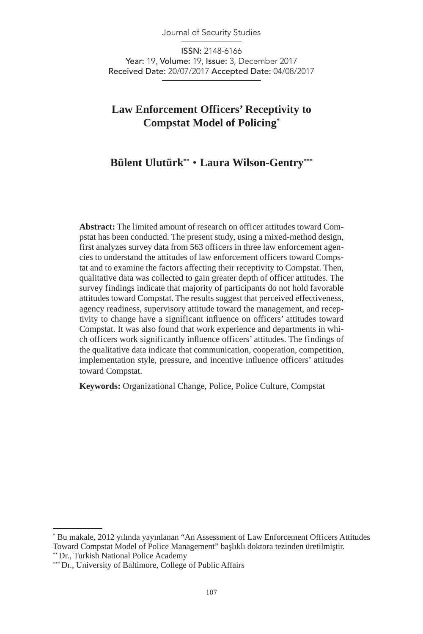Journal of Security Studies

ISSN: 2148-6166 Year: 19, Volume: 19, Issue: 3, December 2017 Received Date: 20/07/2017 Accepted Date: 04/08/2017

# **Law Enforcement Officers' Receptivity to Compstat Model of Policing\***

# **Bülent Ulutürk\*\*** • **Laura Wilson-Gentry\*\*\***

**Abstract:** The limited amount of research on officer attitudes toward Compstat has been conducted. The present study, using a mixed-method design, first analyzes survey data from 563 officers in three law enforcement agencies to understand the attitudes of law enforcement officers toward Compstat and to examine the factors affecting their receptivity to Compstat. Then, qualitative data was collected to gain greater depth of officer attitudes. The survey findings indicate that majority of participants do not hold favorable attitudes toward Compstat. The results suggest that perceived effectiveness, agency readiness, supervisory attitude toward the management, and receptivity to change have a significant influence on officers' attitudes toward Compstat. It was also found that work experience and departments in which officers work significantly influence officers' attitudes. The findings of the qualitative data indicate that communication, cooperation, competition, implementation style, pressure, and incentive influence officers' attitudes toward Compstat.

**Keywords:** Organizational Change, Police, Police Culture, Compstat

<sup>\*</sup> Bu makale, 2012 yılında yayınlanan "An Assessment of Law Enforcement Officers Attitudes Toward Compstat Model of Police Management" başlıklı doktora tezinden üretilmiştir. \*\* Dr., Turkish National Police Academy

<sup>\*\*\*</sup> Dr., University of Baltimore, College of Public Affairs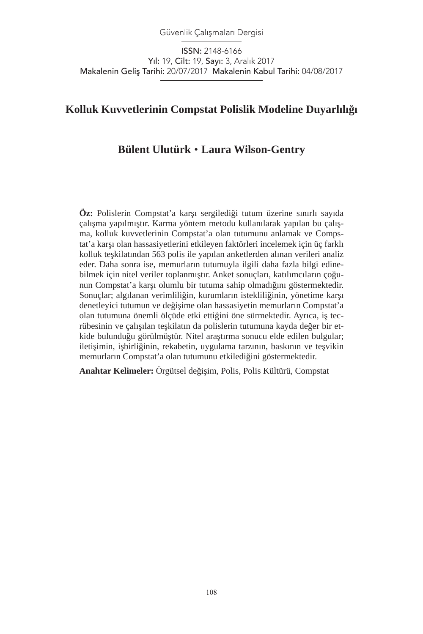Güvenlik Çalışmaları Dergisi

ISSN: 2148-6166 Yıl: 19, Cilt: 19, Sayı: 3, Aralık 2017 Makalenin Geliş Tarihi: 20/07/2017 Makalenin Kabul Tarihi: 04/08/2017

# **Kolluk Kuvvetlerinin Compstat Polislik Modeline Duyarlılığı**

# **Bülent Ulutürk** • **Laura Wilson-Gentry**

**Öz:** Polislerin Compstat'a karşı sergilediği tutum üzerine sınırlı sayıda çalışma yapılmıştır. Karma yöntem metodu kullanılarak yapılan bu çalışma, kolluk kuvvetlerinin Compstat'a olan tutumunu anlamak ve Compstat'a karşı olan hassasiyetlerini etkileyen faktörleri incelemek için üç farklı kolluk teşkilatından 563 polis ile yapılan anketlerden alınan verileri analiz eder. Daha sonra ise, memurların tutumuyla ilgili daha fazla bilgi edinebilmek için nitel veriler toplanmıştır. Anket sonuçları, katılımcıların çoğunun Compstat'a karşı olumlu bir tutuma sahip olmadığını göstermektedir. Sonuçlar; algılanan verimliliğin, kurumların istekliliğinin, yönetime karşı denetleyici tutumun ve değişime olan hassasiyetin memurların Compstat'a olan tutumuna önemli ölçüde etki ettiğini öne sürmektedir. Ayrıca, iş tecrübesinin ve çalışılan teşkilatın da polislerin tutumuna kayda değer bir etkide bulunduğu görülmüştür. Nitel araştırma sonucu elde edilen bulgular; iletişimin, işbirliğinin, rekabetin, uygulama tarzının, baskının ve teşvikin memurların Compstat'a olan tutumunu etkilediğini göstermektedir.

**Anahtar Kelimeler:** Örgütsel değişim, Polis, Polis Kültürü, Compstat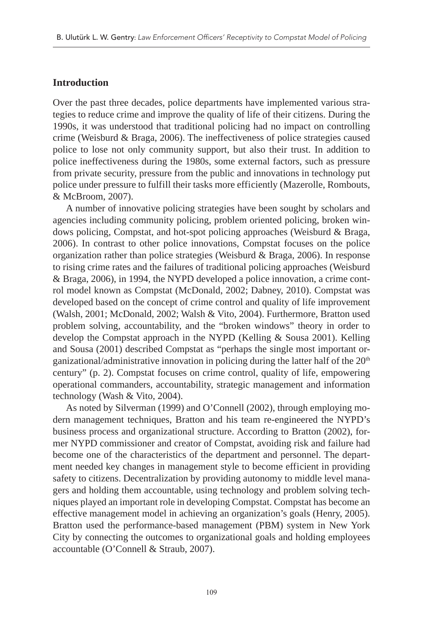#### **Introduction**

Over the past three decades, police departments have implemented various strategies to reduce crime and improve the quality of life of their citizens. During the 1990s, it was understood that traditional policing had no impact on controlling crime (Weisburd & Braga, 2006). The ineffectiveness of police strategies caused police to lose not only community support, but also their trust. In addition to police ineffectiveness during the 1980s, some external factors, such as pressure from private security, pressure from the public and innovations in technology put police under pressure to fulfill their tasks more efficiently (Mazerolle, Rombouts, & McBroom, 2007).

A number of innovative policing strategies have been sought by scholars and agencies including community policing, problem oriented policing, broken windows policing, Compstat, and hot-spot policing approaches (Weisburd & Braga, 2006). In contrast to other police innovations, Compstat focuses on the police organization rather than police strategies (Weisburd & Braga, 2006). In response to rising crime rates and the failures of traditional policing approaches (Weisburd & Braga, 2006), in 1994, the NYPD developed a police innovation, a crime control model known as Compstat (McDonald, 2002; Dabney, 2010). Compstat was developed based on the concept of crime control and quality of life improvement (Walsh, 2001; McDonald, 2002; Walsh & Vito, 2004). Furthermore, Bratton used problem solving, accountability, and the "broken windows" theory in order to develop the Compstat approach in the NYPD (Kelling & Sousa 2001). Kelling and Sousa (2001) described Compstat as "perhaps the single most important organizational/administrative innovation in policing during the latter half of the  $20<sup>th</sup>$ century" (p. 2). Compstat focuses on crime control, quality of life, empowering operational commanders, accountability, strategic management and information technology (Wash & Vito, 2004).

As noted by Silverman (1999) and O'Connell (2002), through employing modern management techniques, Bratton and his team re-engineered the NYPD's business process and organizational structure. According to Bratton (2002), former NYPD commissioner and creator of Compstat, avoiding risk and failure had become one of the characteristics of the department and personnel. The department needed key changes in management style to become efficient in providing safety to citizens. Decentralization by providing autonomy to middle level managers and holding them accountable, using technology and problem solving techniques played an important role in developing Compstat. Compstat has become an effective management model in achieving an organization's goals (Henry, 2005). Bratton used the performance-based management (PBM) system in New York City by connecting the outcomes to organizational goals and holding employees accountable (O'Connell & Straub, 2007).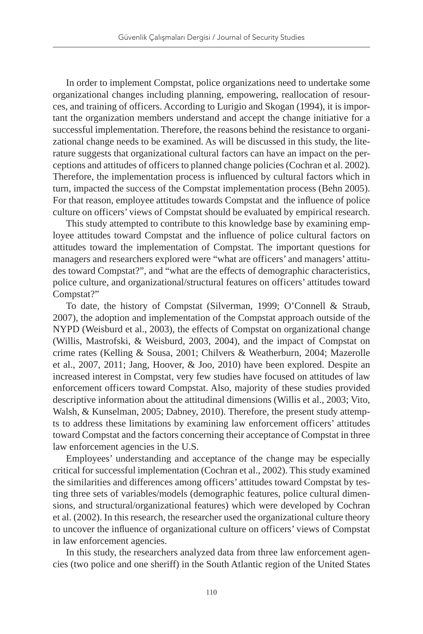In order to implement Compstat, police organizations need to undertake some organizational changes including planning, empowering, reallocation of resources, and training of officers. According to Lurigio and Skogan (1994), it is important the organization members understand and accept the change initiative for a successful implementation. Therefore, the reasons behind the resistance to organizational change needs to be examined. As will be discussed in this study, the literature suggests that organizational cultural factors can have an impact on the perceptions and attitudes of officers to planned change policies (Cochran et al. 2002). Therefore, the implementation process is influenced by cultural factors which in turn, impacted the success of the Compstat implementation process (Behn 2005). For that reason, employee attitudes towards Compstat and the influence of police culture on officers' views of Compstat should be evaluated by empirical research.

This study attempted to contribute to this knowledge base by examining employee attitudes toward Compstat and the influence of police cultural factors on attitudes toward the implementation of Compstat. The important questions for managers and researchers explored were "what are officers' and managers' attitudes toward Compstat?", and "what are the effects of demographic characteristics, police culture, and organizational/structural features on officers' attitudes toward Compstat?"

To date, the history of Compstat (Silverman, 1999; O'Connell & Straub, 2007), the adoption and implementation of the Compstat approach outside of the NYPD (Weisburd et al., 2003), the effects of Compstat on organizational change (Willis, Mastrofski, & Weisburd, 2003, 2004), and the impact of Compstat on crime rates (Kelling & Sousa, 2001; Chilvers & Weatherburn, 2004; Mazerolle et al., 2007, 2011; Jang, Hoover, & Joo, 2010) have been explored. Despite an increased interest in Compstat, very few studies have focused on attitudes of law enforcement officers toward Compstat. Also, majority of these studies provided descriptive information about the attitudinal dimensions (Willis et al., 2003; Vito, Walsh, & Kunselman, 2005; Dabney, 2010). Therefore, the present study attempts to address these limitations by examining law enforcement officers' attitudes toward Compstat and the factors concerning their acceptance of Compstat in three law enforcement agencies in the U.S.

Employees' understanding and acceptance of the change may be especially critical for successful implementation (Cochran et al., 2002). This study examined the similarities and differences among officers' attitudes toward Compstat by testing three sets of variables/models (demographic features, police cultural dimensions, and structural/organizational features) which were developed by Cochran et al. (2002). In this research, the researcher used the organizational culture theory to uncover the influence of organizational culture on officers' views of Compstat in law enforcement agencies.

In this study, the researchers analyzed data from three law enforcement agencies (two police and one sheriff) in the South Atlantic region of the United States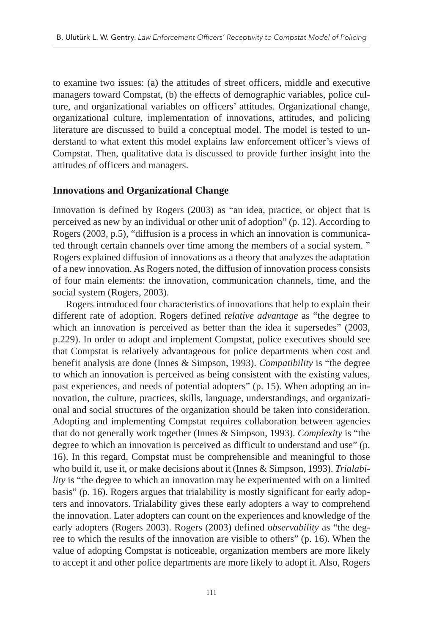to examine two issues: (a) the attitudes of street officers, middle and executive managers toward Compstat, (b) the effects of demographic variables, police culture, and organizational variables on officers' attitudes. Organizational change, organizational culture, implementation of innovations, attitudes, and policing literature are discussed to build a conceptual model. The model is tested to understand to what extent this model explains law enforcement officer's views of Compstat. Then, qualitative data is discussed to provide further insight into the attitudes of officers and managers.

#### **Innovations and Organizational Change**

Innovation is defined by Rogers (2003) as "an idea, practice, or object that is perceived as new by an individual or other unit of adoption" (p. 12). According to Rogers (2003, p.5), "diffusion is a process in which an innovation is communicated through certain channels over time among the members of a social system. " Rogers explained diffusion of innovations as a theory that analyzes the adaptation of a new innovation. As Rogers noted, the diffusion of innovation process consists of four main elements: the innovation, communication channels, time, and the social system (Rogers, 2003).

Rogers introduced four characteristics of innovations that help to explain their different rate of adoption. Rogers defined r*elative advantage* as "the degree to which an innovation is perceived as better than the idea it supersedes" (2003, p.229). In order to adopt and implement Compstat, police executives should see that Compstat is relatively advantageous for police departments when cost and benefit analysis are done (Innes & Simpson, 1993). *Compatibility* is "the degree to which an innovation is perceived as being consistent with the existing values, past experiences, and needs of potential adopters" (p. 15). When adopting an innovation, the culture, practices, skills, language, understandings, and organizational and social structures of the organization should be taken into consideration. Adopting and implementing Compstat requires collaboration between agencies that do not generally work together (Innes & Simpson, 1993). *Complexity* is "the degree to which an innovation is perceived as difficult to understand and use" (p. 16). In this regard, Compstat must be comprehensible and meaningful to those who build it, use it, or make decisions about it (Innes & Simpson, 1993). *Trialability* is "the degree to which an innovation may be experimented with on a limited basis" (p. 16). Rogers argues that trialability is mostly significant for early adopters and innovators. Trialability gives these early adopters a way to comprehend the innovation. Later adopters can count on the experiences and knowledge of the early adopters (Rogers 2003). Rogers (2003) defined o*bservability* as "the degree to which the results of the innovation are visible to others" (p. 16). When the value of adopting Compstat is noticeable, organization members are more likely to accept it and other police departments are more likely to adopt it. Also, Rogers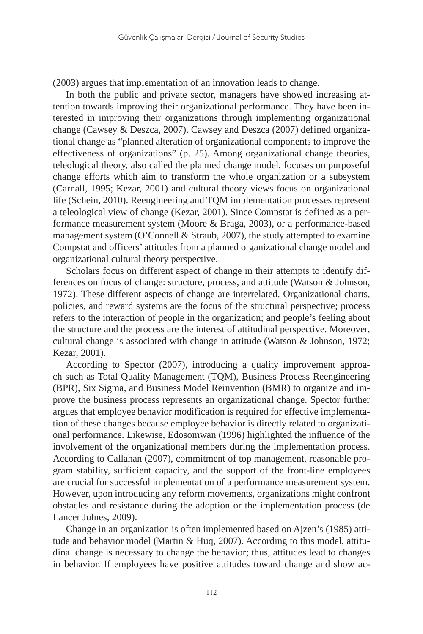(2003) argues that implementation of an innovation leads to change.

In both the public and private sector, managers have showed increasing attention towards improving their organizational performance. They have been interested in improving their organizations through implementing organizational change (Cawsey & Deszca, 2007). Cawsey and Deszca (2007) defined organizational change as "planned alteration of organizational components to improve the effectiveness of organizations" (p. 25). Among organizational change theories, teleological theory, also called the planned change model, focuses on purposeful change efforts which aim to transform the whole organization or a subsystem (Carnall, 1995; Kezar, 2001) and cultural theory views focus on organizational life (Schein, 2010). Reengineering and TQM implementation processes represent a teleological view of change (Kezar, 2001). Since Compstat is defined as a performance measurement system (Moore & Braga, 2003), or a performance-based management system (O'Connell & Straub, 2007), the study attempted to examine Compstat and officers' attitudes from a planned organizational change model and organizational cultural theory perspective.

Scholars focus on different aspect of change in their attempts to identify differences on focus of change: structure, process, and attitude (Watson & Johnson, 1972). These different aspects of change are interrelated. Organizational charts, policies, and reward systems are the focus of the structural perspective; process refers to the interaction of people in the organization; and people's feeling about the structure and the process are the interest of attitudinal perspective. Moreover, cultural change is associated with change in attitude (Watson & Johnson, 1972; Kezar, 2001).

According to Spector (2007), introducing a quality improvement approach such as Total Quality Management (TQM), Business Process Reengineering (BPR), Six Sigma, and Business Model Reinvention (BMR) to organize and improve the business process represents an organizational change. Spector further argues that employee behavior modification is required for effective implementation of these changes because employee behavior is directly related to organizational performance. Likewise, Edosomwan (1996) highlighted the influence of the involvement of the organizational members during the implementation process. According to Callahan (2007), commitment of top management, reasonable program stability, sufficient capacity, and the support of the front-line employees are crucial for successful implementation of a performance measurement system. However, upon introducing any reform movements, organizations might confront obstacles and resistance during the adoption or the implementation process (de Lancer Julnes, 2009).

Change in an organization is often implemented based on Ajzen's (1985) attitude and behavior model (Martin & Huq, 2007). According to this model, attitudinal change is necessary to change the behavior; thus, attitudes lead to changes in behavior. If employees have positive attitudes toward change and show ac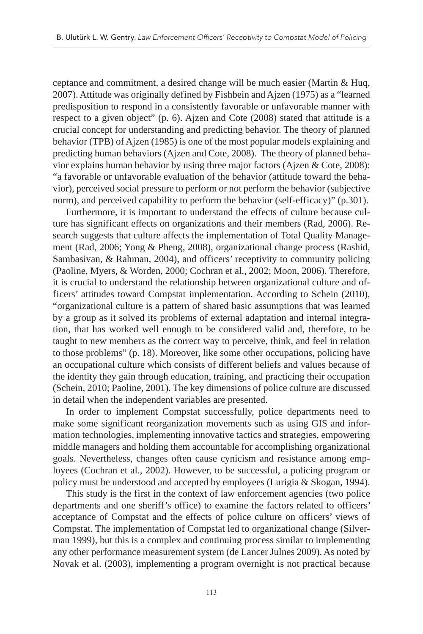ceptance and commitment, a desired change will be much easier (Martin & Huq, 2007). Attitude was originally defined by Fishbein and Ajzen (1975) as a "learned predisposition to respond in a consistently favorable or unfavorable manner with respect to a given object" (p. 6). Ajzen and Cote (2008) stated that attitude is a crucial concept for understanding and predicting behavior. The theory of planned behavior (TPB) of Ajzen (1985) is one of the most popular models explaining and predicting human behaviors (Ajzen and Cote, 2008). The theory of planned behavior explains human behavior by using three major factors (Ajzen & Cote, 2008): "a favorable or unfavorable evaluation of the behavior (attitude toward the behavior), perceived social pressure to perform or not perform the behavior (subjective norm), and perceived capability to perform the behavior (self-efficacy)" (p.301).

Furthermore, it is important to understand the effects of culture because culture has significant effects on organizations and their members (Rad, 2006). Research suggests that culture affects the implementation of Total Quality Management (Rad, 2006; Yong & Pheng, 2008), organizational change process (Rashid, Sambasivan, & Rahman, 2004), and officers' receptivity to community policing (Paoline, Myers, & Worden, 2000; Cochran et al., 2002; Moon, 2006). Therefore, it is crucial to understand the relationship between organizational culture and officers' attitudes toward Compstat implementation. According to Schein (2010), "organizational culture is a pattern of shared basic assumptions that was learned by a group as it solved its problems of external adaptation and internal integration, that has worked well enough to be considered valid and, therefore, to be taught to new members as the correct way to perceive, think, and feel in relation to those problems" (p. 18). Moreover, like some other occupations, policing have an occupational culture which consists of different beliefs and values because of the identity they gain through education, training, and practicing their occupation (Schein, 2010; Paoline, 2001). The key dimensions of police culture are discussed in detail when the independent variables are presented.

In order to implement Compstat successfully, police departments need to make some significant reorganization movements such as using GIS and information technologies, implementing innovative tactics and strategies, empowering middle managers and holding them accountable for accomplishing organizational goals. Nevertheless, changes often cause cynicism and resistance among employees (Cochran et al., 2002). However, to be successful, a policing program or policy must be understood and accepted by employees (Lurigia & Skogan, 1994).

This study is the first in the context of law enforcement agencies (two police departments and one sheriff's office) to examine the factors related to officers' acceptance of Compstat and the effects of police culture on officers' views of Compstat. The implementation of Compstat led to organizational change (Silverman 1999), but this is a complex and continuing process similar to implementing any other performance measurement system (de Lancer Julnes 2009). As noted by Novak et al. (2003), implementing a program overnight is not practical because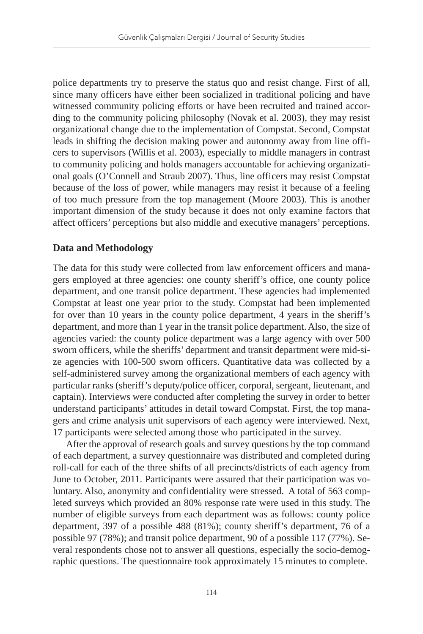police departments try to preserve the status quo and resist change. First of all, since many officers have either been socialized in traditional policing and have witnessed community policing efforts or have been recruited and trained according to the community policing philosophy (Novak et al. 2003), they may resist organizational change due to the implementation of Compstat. Second, Compstat leads in shifting the decision making power and autonomy away from line officers to supervisors (Willis et al. 2003), especially to middle managers in contrast to community policing and holds managers accountable for achieving organizational goals (O'Connell and Straub 2007). Thus, line officers may resist Compstat because of the loss of power, while managers may resist it because of a feeling of too much pressure from the top management (Moore 2003). This is another important dimension of the study because it does not only examine factors that affect officers' perceptions but also middle and executive managers' perceptions.

# **Data and Methodology**

The data for this study were collected from law enforcement officers and managers employed at three agencies: one county sheriff's office, one county police department, and one transit police department. These agencies had implemented Compstat at least one year prior to the study. Compstat had been implemented for over than 10 years in the county police department, 4 years in the sheriff's department, and more than 1 year in the transit police department. Also, the size of agencies varied: the county police department was a large agency with over 500 sworn officers, while the sheriffs' department and transit department were mid-size agencies with 100-500 sworn officers. Quantitative data was collected by a self-administered survey among the organizational members of each agency with particular ranks (sheriff's deputy/police officer, corporal, sergeant, lieutenant, and captain). Interviews were conducted after completing the survey in order to better understand participants' attitudes in detail toward Compstat. First, the top managers and crime analysis unit supervisors of each agency were interviewed. Next, 17 participants were selected among those who participated in the survey.

After the approval of research goals and survey questions by the top command of each department, a survey questionnaire was distributed and completed during roll-call for each of the three shifts of all precincts/districts of each agency from June to October, 2011. Participants were assured that their participation was voluntary. Also, anonymity and confidentiality were stressed. A total of 563 completed surveys which provided an 80% response rate were used in this study. The number of eligible surveys from each department was as follows: county police department, 397 of a possible 488 (81%); county sheriff's department, 76 of a possible 97 (78%); and transit police department, 90 of a possible 117 (77%). Several respondents chose not to answer all questions, especially the socio-demographic questions. The questionnaire took approximately 15 minutes to complete.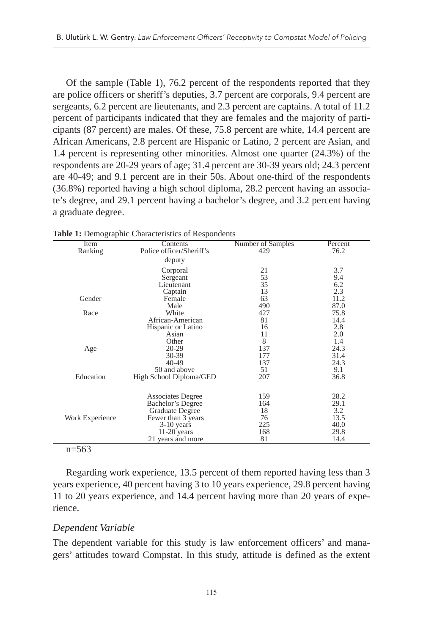Of the sample (Table 1), 76.2 percent of the respondents reported that they are police officers or sheriff's deputies, 3.7 percent are corporals, 9.4 percent are sergeants, 6.2 percent are lieutenants, and 2.3 percent are captains. A total of 11.2 percent of participants indicated that they are females and the majority of participants (87 percent) are males. Of these, 75.8 percent are white, 14.4 percent are African Americans, 2.8 percent are Hispanic or Latino, 2 percent are Asian, and 1.4 percent is representing other minorities. Almost one quarter (24.3%) of the respondents are 20-29 years of age; 31.4 percent are 30-39 years old; 24.3 percent are 40-49; and 9.1 percent are in their 50s. About one-third of the respondents (36.8%) reported having a high school diploma, 28.2 percent having an associate's degree, and 29.1 percent having a bachelor's degree, and 3.2 percent having a graduate degree.

|                 | exerc et exampleme cautacteristics of recopondents |                   |         |
|-----------------|----------------------------------------------------|-------------------|---------|
| <b>Item</b>     | Contents                                           | Number of Samples | Percent |
| Ranking         | Police officer/Sheriff's                           | 429               | 76.2    |
|                 | deputy                                             |                   |         |
|                 | Corporal                                           | 21                | 3.7     |
|                 | Sergeant                                           | 53                | 9.4     |
|                 | Lieutenant                                         | 35                | 6.2     |
|                 | Captain                                            | 13                | 2.3     |
| Gender          | Female                                             | 63                | 11.2    |
|                 | Male                                               | 490               | 87.0    |
| Race            | White                                              | 427               | 75.8    |
|                 | African-American                                   | 81                | 14.4    |
|                 | Hispanic or Latino                                 | 16                | 2.8     |
|                 | Asian                                              | 11                | 2.0     |
|                 | Other                                              | 8                 | 1.4     |
| Age             | 20-29                                              | 137               | 24.3    |
|                 | 30-39                                              | 177               | 31.4    |
|                 | 40-49                                              | 137               | 24.3    |
|                 | 50 and above                                       | 51                | 9.1     |
| Education       | High School Diploma/GED                            | 207               | 36.8    |
|                 |                                                    |                   |         |
|                 | <b>Associates Degree</b>                           | 159               | 28.2    |
|                 | Bachelor's Degree                                  | 164               | 29.1    |
|                 | Graduate Degree                                    | 18                | 3.2     |
| Work Experience | Fewer than 3 years                                 | 76                | 13.5    |
|                 | 3-10 years                                         | 225               | 40.0    |
|                 | $11-20$ years                                      | 168               | 29.8    |
|                 | 21 years and more                                  | 81                | 14.4    |
| $=$ 0.0         |                                                    |                   |         |

**Table 1:** Demographic Characteristics of Respondents

#### n=563

Regarding work experience, 13.5 percent of them reported having less than 3 years experience, 40 percent having 3 to 10 years experience, 29.8 percent having 11 to 20 years experience, and 14.4 percent having more than 20 years of experience.

### *Dependent Variable*

The dependent variable for this study is law enforcement officers' and managers' attitudes toward Compstat. In this study, attitude is defined as the extent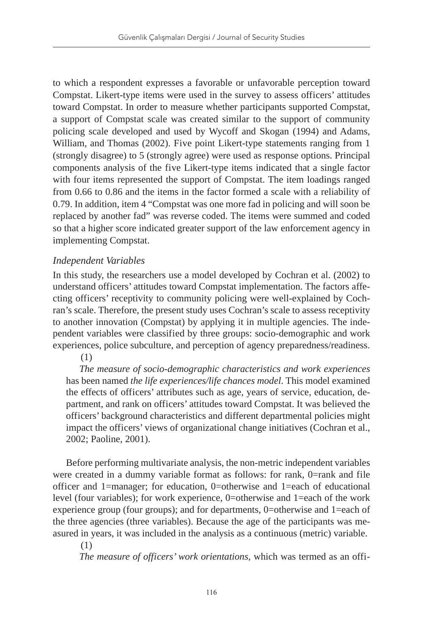to which a respondent expresses a favorable or unfavorable perception toward Compstat. Likert-type items were used in the survey to assess officers' attitudes toward Compstat. In order to measure whether participants supported Compstat, a support of Compstat scale was created similar to the support of community policing scale developed and used by Wycoff and Skogan (1994) and Adams, William, and Thomas (2002). Five point Likert-type statements ranging from 1 (strongly disagree) to 5 (strongly agree) were used as response options. Principal components analysis of the five Likert-type items indicated that a single factor with four items represented the support of Compstat. The item loadings ranged from 0.66 to 0.86 and the items in the factor formed a scale with a reliability of 0.79. In addition, item 4 "Compstat was one more fad in policing and will soon be replaced by another fad" was reverse coded. The items were summed and coded so that a higher score indicated greater support of the law enforcement agency in implementing Compstat.

# *Independent Variables*

In this study, the researchers use a model developed by Cochran et al. (2002) to understand officers' attitudes toward Compstat implementation. The factors affecting officers' receptivity to community policing were well-explained by Cochran's scale. Therefore, the present study uses Cochran's scale to assess receptivity to another innovation (Compstat) by applying it in multiple agencies. The independent variables were classified by three groups: socio-demographic and work experiences, police subculture, and perception of agency preparedness/readiness.

(1)

*The measure of socio-demographic characteristics and work experiences*  has been named *the life experiences/life chances model*. This model examined the effects of officers' attributes such as age, years of service, education, department, and rank on officers' attitudes toward Compstat. It was believed the officers' background characteristics and different departmental policies might impact the officers' views of organizational change initiatives (Cochran et al., 2002; Paoline, 2001).

Before performing multivariate analysis, the non-metric independent variables were created in a dummy variable format as follows: for rank, 0=rank and file officer and 1=manager; for education, 0=otherwise and 1=each of educational level (four variables); for work experience, 0=otherwise and 1=each of the work experience group (four groups); and for departments, 0=otherwise and 1=each of the three agencies (three variables). Because the age of the participants was measured in years, it was included in the analysis as a continuous (metric) variable.

### (1)

*The measure of officers' work orientations*, which was termed as an offi-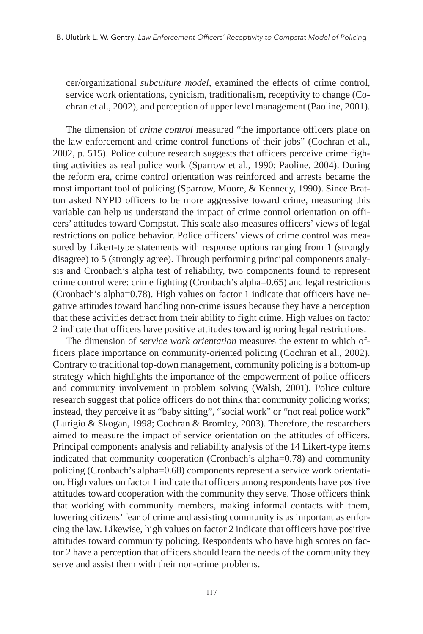cer/organizational *subculture model*, examined the effects of crime control, service work orientations, cynicism, traditionalism, receptivity to change (Cochran et al., 2002), and perception of upper level management (Paoline, 2001).

The dimension of *crime control* measured "the importance officers place on the law enforcement and crime control functions of their jobs" (Cochran et al., 2002, p. 515). Police culture research suggests that officers perceive crime fighting activities as real police work (Sparrow et al., 1990; Paoline, 2004). During the reform era, crime control orientation was reinforced and arrests became the most important tool of policing (Sparrow, Moore, & Kennedy, 1990). Since Bratton asked NYPD officers to be more aggressive toward crime, measuring this variable can help us understand the impact of crime control orientation on officers' attitudes toward Compstat. This scale also measures officers' views of legal restrictions on police behavior. Police officers' views of crime control was measured by Likert-type statements with response options ranging from 1 (strongly disagree) to 5 (strongly agree). Through performing principal components analysis and Cronbach's alpha test of reliability, two components found to represent crime control were: crime fighting (Cronbach's alpha=0.65) and legal restrictions (Cronbach's alpha=0.78). High values on factor 1 indicate that officers have negative attitudes toward handling non-crime issues because they have a perception that these activities detract from their ability to fight crime. High values on factor 2 indicate that officers have positive attitudes toward ignoring legal restrictions.

The dimension of *service work orientation* measures the extent to which officers place importance on community-oriented policing (Cochran et al., 2002). Contrary to traditional top-down management, community policing is a bottom-up strategy which highlights the importance of the empowerment of police officers and community involvement in problem solving (Walsh, 2001). Police culture research suggest that police officers do not think that community policing works; instead, they perceive it as "baby sitting", "social work" or "not real police work" (Lurigio & Skogan, 1998; Cochran & Bromley, 2003). Therefore, the researchers aimed to measure the impact of service orientation on the attitudes of officers. Principal components analysis and reliability analysis of the 14 Likert-type items indicated that community cooperation (Cronbach's alpha=0.78) and community policing (Cronbach's alpha=0.68) components represent a service work orientation. High values on factor 1 indicate that officers among respondents have positive attitudes toward cooperation with the community they serve. Those officers think that working with community members, making informal contacts with them, lowering citizens' fear of crime and assisting community is as important as enforcing the law. Likewise, high values on factor 2 indicate that officers have positive attitudes toward community policing. Respondents who have high scores on factor 2 have a perception that officers should learn the needs of the community they serve and assist them with their non-crime problems.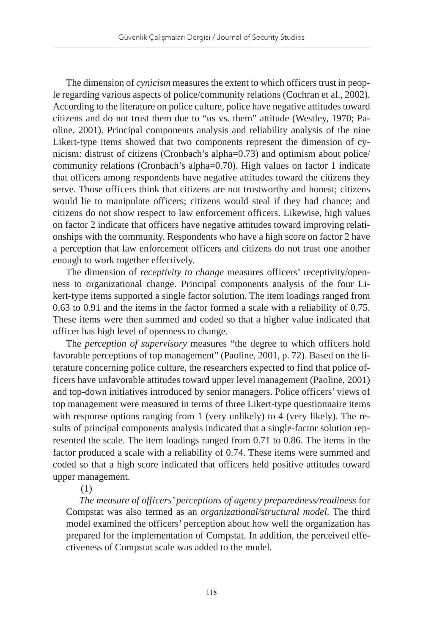The dimension of *cynicism* measures the extent to which officers trust in people regarding various aspects of police/community relations (Cochran et al., 2002). According to the literature on police culture, police have negative attitudes toward citizens and do not trust them due to "us vs. them" attitude (Westley, 1970; Paoline, 2001). Principal components analysis and reliability analysis of the nine Likert-type items showed that two components represent the dimension of cynicism: distrust of citizens (Cronbach's alpha=0.73) and optimism about police/ community relations (Cronbach's alpha=0.70). High values on factor 1 indicate that officers among respondents have negative attitudes toward the citizens they serve. Those officers think that citizens are not trustworthy and honest; citizens would lie to manipulate officers; citizens would steal if they had chance; and citizens do not show respect to law enforcement officers. Likewise, high values on factor 2 indicate that officers have negative attitudes toward improving relationships with the community. Respondents who have a high score on factor 2 have a perception that law enforcement officers and citizens do not trust one another enough to work together effectively.

The dimension of *receptivity to change* measures officers' receptivity/openness to organizational change. Principal components analysis of the four Likert-type items supported a single factor solution. The item loadings ranged from 0.63 to 0.91 and the items in the factor formed a scale with a reliability of 0.75. These items were then summed and coded so that a higher value indicated that officer has high level of openness to change.

The *perception of supervisory* measures "the degree to which officers hold favorable perceptions of top management" (Paoline, 2001, p. 72). Based on the literature concerning police culture, the researchers expected to find that police officers have unfavorable attitudes toward upper level management (Paoline, 2001) and top-down initiatives introduced by senior managers. Police officers' views of top management were measured in terms of three Likert-type questionnaire items with response options ranging from 1 (very unlikely) to 4 (very likely). The results of principal components analysis indicated that a single-factor solution represented the scale. The item loadings ranged from 0.71 to 0.86. The items in the factor produced a scale with a reliability of 0.74. These items were summed and coded so that a high score indicated that officers held positive attitudes toward upper management.

#### (1)

*The measure of officers' perceptions of agency preparedness/readiness* for Compstat was also termed as an *organizational/structural model*. The third model examined the officers' perception about how well the organization has prepared for the implementation of Compstat. In addition, the perceived effectiveness of Compstat scale was added to the model.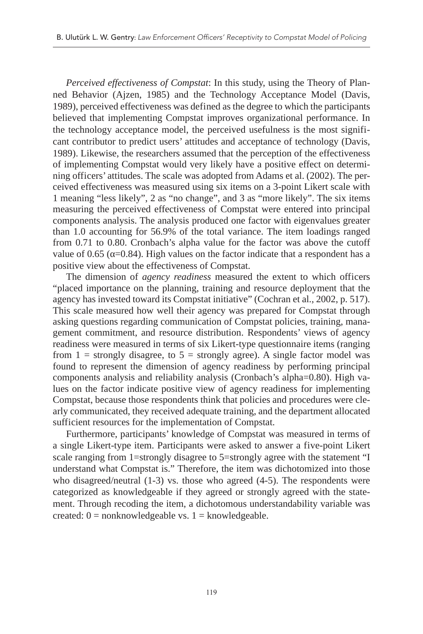*Perceived effectiveness of Compstat*: In this study, using the Theory of Planned Behavior (Ajzen, 1985) and the Technology Acceptance Model (Davis, 1989), perceived effectiveness was defined as the degree to which the participants believed that implementing Compstat improves organizational performance. In the technology acceptance model, the perceived usefulness is the most significant contributor to predict users' attitudes and acceptance of technology (Davis, 1989). Likewise, the researchers assumed that the perception of the effectiveness of implementing Compstat would very likely have a positive effect on determining officers' attitudes. The scale was adopted from Adams et al. (2002). The perceived effectiveness was measured using six items on a 3-point Likert scale with 1 meaning "less likely", 2 as "no change", and 3 as "more likely". The six items measuring the perceived effectiveness of Compstat were entered into principal components analysis. The analysis produced one factor with eigenvalues greater than 1.0 accounting for 56.9% of the total variance. The item loadings ranged from 0.71 to 0.80. Cronbach's alpha value for the factor was above the cutoff value of 0.65 ( $α=0.84$ ). High values on the factor indicate that a respondent has a positive view about the effectiveness of Compstat.

The dimension of *agency readiness* measured the extent to which officers "placed importance on the planning, training and resource deployment that the agency has invested toward its Compstat initiative" (Cochran et al., 2002, p. 517). This scale measured how well their agency was prepared for Compstat through asking questions regarding communication of Compstat policies, training, management commitment, and resource distribution. Respondents' views of agency readiness were measured in terms of six Likert-type questionnaire items (ranging from  $1 =$  strongly disagree, to  $5 =$  strongly agree). A single factor model was found to represent the dimension of agency readiness by performing principal components analysis and reliability analysis (Cronbach's alpha=0.80). High values on the factor indicate positive view of agency readiness for implementing Compstat, because those respondents think that policies and procedures were clearly communicated, they received adequate training, and the department allocated sufficient resources for the implementation of Compstat.

Furthermore, participants' knowledge of Compstat was measured in terms of a single Likert-type item. Participants were asked to answer a five-point Likert scale ranging from 1=strongly disagree to 5=strongly agree with the statement "I understand what Compstat is." Therefore, the item was dichotomized into those who disagreed/neutral (1-3) vs. those who agreed (4-5). The respondents were categorized as knowledgeable if they agreed or strongly agreed with the statement. Through recoding the item, a dichotomous understandability variable was created:  $0 =$  nonknowledgeable vs.  $1 =$  knowledgeable.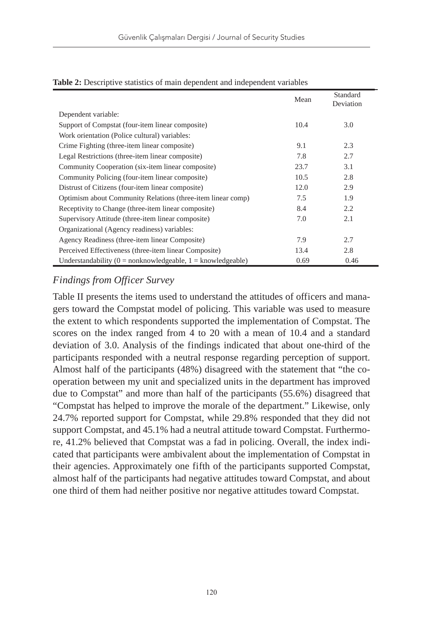| <b>rabic 2.</b> Descriptive statistics of main dependent and muependent variables | Mean | Standard  |
|-----------------------------------------------------------------------------------|------|-----------|
|                                                                                   |      | Deviation |
| Dependent variable:                                                               |      |           |
| Support of Compstat (four-item linear composite)                                  | 10.4 | 3.0       |
| Work orientation (Police cultural) variables:                                     |      |           |
| Crime Fighting (three-item linear composite)                                      | 9.1  | 2.3       |
| Legal Restrictions (three-item linear composite)                                  | 7.8  | 2.7       |
| Community Cooperation (six-item linear composite)                                 | 23.7 | 3.1       |
| Community Policing (four-item linear composite)                                   | 10.5 | 2.8       |
| Distrust of Citizens (four-item linear composite)                                 | 12.0 | 2.9       |
| Optimism about Community Relations (three-item linear comp)                       | 7.5  | 1.9       |
| Receptivity to Change (three-item linear composite)                               | 8.4  | 2.2       |
| Supervisory Attitude (three-item linear composite)                                | 7.0  | 2.1       |
| Organizational (Agency readiness) variables:                                      |      |           |
| Agency Readiness (three-item linear Composite)                                    | 7.9  | 2.7       |
| Perceived Effectiveness (three-item linear Composite)                             | 13.4 | 2.8       |
| Understandability ( $0 =$ nonknowledgeable, $1 =$ knowledgeable)                  | 0.69 | 0.46      |

#### **Table 2:** Descriptive statistics of main dependent and independent variables

# *Findings from Officer Survey*

Table II presents the items used to understand the attitudes of officers and managers toward the Compstat model of policing. This variable was used to measure the extent to which respondents supported the implementation of Compstat. The scores on the index ranged from 4 to 20 with a mean of 10.4 and a standard deviation of 3.0. Analysis of the findings indicated that about one-third of the participants responded with a neutral response regarding perception of support. Almost half of the participants (48%) disagreed with the statement that "the cooperation between my unit and specialized units in the department has improved due to Compstat" and more than half of the participants (55.6%) disagreed that "Compstat has helped to improve the morale of the department." Likewise, only 24.7% reported support for Compstat, while 29.8% responded that they did not support Compstat, and 45.1% had a neutral attitude toward Compstat. Furthermore, 41.2% believed that Compstat was a fad in policing. Overall, the index indicated that participants were ambivalent about the implementation of Compstat in their agencies. Approximately one fifth of the participants supported Compstat, almost half of the participants had negative attitudes toward Compstat, and about one third of them had neither positive nor negative attitudes toward Compstat.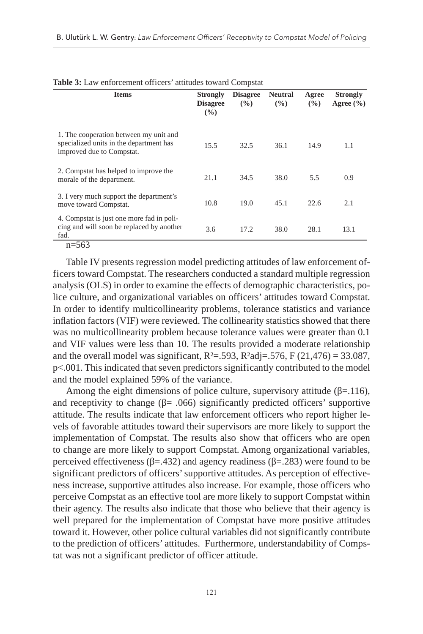|                                                                                                                |                                           | ÷                      |                       |              |                                  |
|----------------------------------------------------------------------------------------------------------------|-------------------------------------------|------------------------|-----------------------|--------------|----------------------------------|
| <b>Items</b>                                                                                                   | <b>Strongly</b><br><b>Disagree</b><br>(%) | <b>Disagree</b><br>(%) | <b>Neutral</b><br>(%) | Agree<br>(%) | <b>Strongly</b><br>Agree $(\% )$ |
| 1. The cooperation between my unit and<br>specialized units in the department has<br>improved due to Compstat. | 15.5                                      | 32.5                   | 36.1                  | 14.9         | 1.1                              |
| 2. Compstat has helped to improve the<br>morale of the department.                                             | 21.1                                      | 34.5                   | 38.0                  | 5.5          | 0.9                              |
| 3. I very much support the department's<br>move toward Compstat.                                               | 10.8                                      | 19.0                   | 45.1                  | 22.6         | 2.1                              |
| 4. Compstat is just one more fad in poli-<br>cing and will soon be replaced by another<br>fad.                 | 3.6                                       | 17.2                   | 38.0                  | 28.1         | 13.1                             |

#### **Table 3:** Law enforcement officers' attitudes toward Compstat

#### n=563

Table IV presents regression model predicting attitudes of law enforcement officers toward Compstat. The researchers conducted a standard multiple regression analysis (OLS) in order to examine the effects of demographic characteristics, police culture, and organizational variables on officers' attitudes toward Compstat. In order to identify multicollinearity problems, tolerance statistics and variance inflation factors (VIF) were reviewed. The collinearity statistics showed that there was no multicollinearity problem because tolerance values were greater than 0.1 and VIF values were less than 10. The results provided a moderate relationship and the overall model was significant,  $R^2 = .593$ ,  $R^2$ adj= $.576$ , F (21,476) = 33.087, p<.001. This indicated that seven predictors significantly contributed to the model and the model explained 59% of the variance.

Among the eight dimensions of police culture, supervisory attitude ( $\beta$ =.116), and receptivity to change ( $\beta$ = .066) significantly predicted officers' supportive attitude. The results indicate that law enforcement officers who report higher levels of favorable attitudes toward their supervisors are more likely to support the implementation of Compstat. The results also show that officers who are open to change are more likely to support Compstat. Among organizational variables, perceived effectiveness ( $β = .432$ ) and agency readiness ( $β = .283$ ) were found to be significant predictors of officers' supportive attitudes. As perception of effectiveness increase, supportive attitudes also increase. For example, those officers who perceive Compstat as an effective tool are more likely to support Compstat within their agency. The results also indicate that those who believe that their agency is well prepared for the implementation of Compstat have more positive attitudes toward it. However, other police cultural variables did not significantly contribute to the prediction of officers' attitudes. Furthermore, understandability of Compstat was not a significant predictor of officer attitude.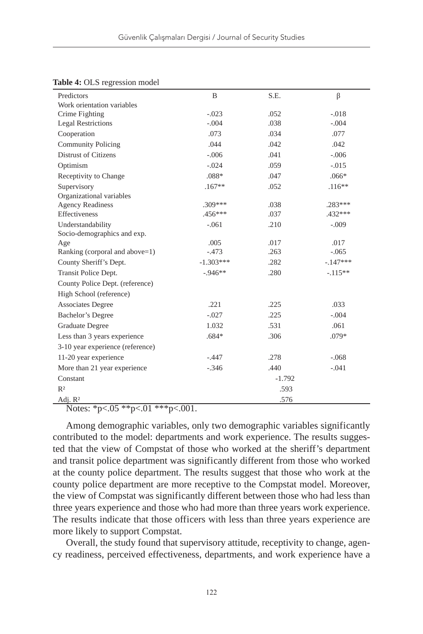| Predictors                       | B           | S.E. | β          |  |
|----------------------------------|-------------|------|------------|--|
| Work orientation variables       |             |      |            |  |
| Crime Fighting                   | $-.023$     | .052 | $-.018$    |  |
| <b>Legal Restrictions</b>        | $-.004$     | .038 | $-.004$    |  |
| Cooperation                      | .073        | .034 | .077       |  |
| <b>Community Policing</b>        | .044        | .042 | .042       |  |
| <b>Distrust of Citizens</b>      | $-.006$     | .041 | $-.006$    |  |
| Optimism                         | $-.024$     | .059 | $-.015$    |  |
| Receptivity to Change            | $.088*$     | .047 | $.066*$    |  |
| Supervisory                      | $.167**$    | .052 | $.116**$   |  |
| Organizational variables         |             |      |            |  |
| <b>Agency Readiness</b>          | $.309***$   | .038 | .283***    |  |
| <b>Effectiveness</b>             | .456***     | .037 | $.432***$  |  |
| Understandability                | $-.061$     | .210 | $-.009$    |  |
| Socio-demographics and exp.      |             |      |            |  |
| Age                              | .005        | .017 | .017       |  |
| Ranking (corporal and above=1)   | $-.473$     | .263 | $-.065$    |  |
| County Sheriff's Dept.           | $-1.303***$ | .282 | $-.147***$ |  |
| Transit Police Dept.             | $-0.946**$  | .280 | $-.115**$  |  |
| County Police Dept. (reference)  |             |      |            |  |
| High School (reference)          |             |      |            |  |
| <b>Associates Degree</b>         | .221        | .225 | .033       |  |
| Bachelor's Degree                | $-.027$     | .225 | $-.004$    |  |
| Graduate Degree                  | 1.032       | .531 | .061       |  |
| Less than 3 years experience     | $.684*$     | .306 | .079*      |  |
| 3-10 year experience (reference) |             |      |            |  |
| 11-20 year experience            | $-.447$     | .278 | $-.068$    |  |
| More than 21 year experience     | $-.346$     | .440 | $-.041$    |  |
| Constant                         | $-1.792$    |      |            |  |
| R <sup>2</sup>                   | .593        |      |            |  |
| Adj. R <sup>2</sup>              | .576        |      |            |  |

#### **Table 4:** OLS regression model

Notes: \*p<.05 \*\*p<.01 \*\*\*p<.001.

Among demographic variables, only two demographic variables significantly contributed to the model: departments and work experience. The results suggested that the view of Compstat of those who worked at the sheriff's department and transit police department was significantly different from those who worked at the county police department. The results suggest that those who work at the county police department are more receptive to the Compstat model. Moreover, the view of Compstat was significantly different between those who had less than three years experience and those who had more than three years work experience. The results indicate that those officers with less than three years experience are more likely to support Compstat.

Overall, the study found that supervisory attitude, receptivity to change, agency readiness, perceived effectiveness, departments, and work experience have a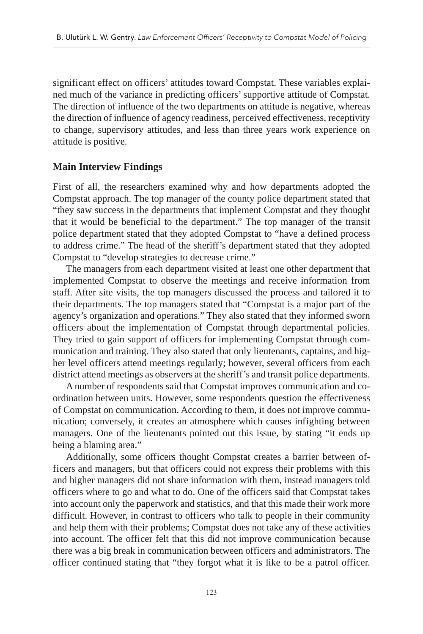significant effect on officers' attitudes toward Compstat. These variables explained much of the variance in predicting officers' supportive attitude of Compstat. The direction of influence of the two departments on attitude is negative, whereas the direction of influence of agency readiness, perceived effectiveness, receptivity to change, supervisory attitudes, and less than three years work experience on attitude is positive.

# **Main Interview Findings**

First of all, the researchers examined why and how departments adopted the Compstat approach. The top manager of the county police department stated that "they saw success in the departments that implement Compstat and they thought that it would be beneficial to the department." The top manager of the transit police department stated that they adopted Compstat to "have a defined process to address crime." The head of the sheriff's department stated that they adopted Compstat to "develop strategies to decrease crime."

The managers from each department visited at least one other department that implemented Compstat to observe the meetings and receive information from staff. After site visits, the top managers discussed the process and tailored it to their departments. The top managers stated that "Compstat is a major part of the agency's organization and operations." They also stated that they informed sworn officers about the implementation of Compstat through departmental policies. They tried to gain support of officers for implementing Compstat through communication and training. They also stated that only lieutenants, captains, and higher level officers attend meetings regularly; however, several officers from each district attend meetings as observers at the sheriff's and transit police departments.

A number of respondents said that Compstat improves communication and coordination between units. However, some respondents question the effectiveness of Compstat on communication. According to them, it does not improve communication; conversely, it creates an atmosphere which causes infighting between managers. One of the lieutenants pointed out this issue, by stating "it ends up being a blaming area."

Additionally, some officers thought Compstat creates a barrier between officers and managers, but that officers could not express their problems with this and higher managers did not share information with them, instead managers told officers where to go and what to do. One of the officers said that Compstat takes into account only the paperwork and statistics, and that this made their work more difficult. However, in contrast to officers who talk to people in their community and help them with their problems; Compstat does not take any of these activities into account. The officer felt that this did not improve communication because there was a big break in communication between officers and administrators. The officer continued stating that "they forgot what it is like to be a patrol officer.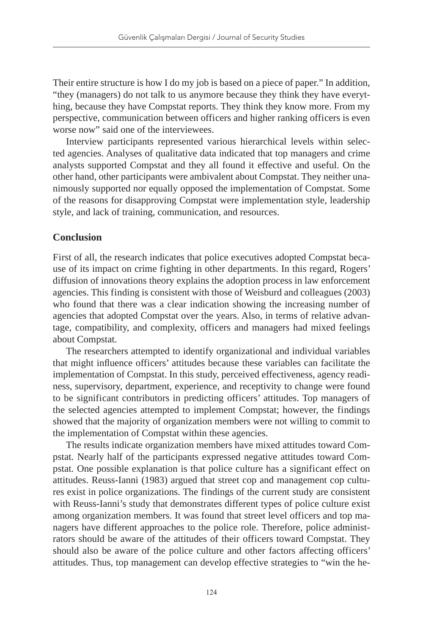Their entire structure is how I do my job is based on a piece of paper." In addition, "they (managers) do not talk to us anymore because they think they have everything, because they have Compstat reports. They think they know more. From my perspective, communication between officers and higher ranking officers is even worse now" said one of the interviewees.

Interview participants represented various hierarchical levels within selected agencies. Analyses of qualitative data indicated that top managers and crime analysts supported Compstat and they all found it effective and useful. On the other hand, other participants were ambivalent about Compstat. They neither unanimously supported nor equally opposed the implementation of Compstat. Some of the reasons for disapproving Compstat were implementation style, leadership style, and lack of training, communication, and resources.

# **Conclusion**

First of all, the research indicates that police executives adopted Compstat because of its impact on crime fighting in other departments. In this regard, Rogers' diffusion of innovations theory explains the adoption process in law enforcement agencies. This finding is consistent with those of Weisburd and colleagues (2003) who found that there was a clear indication showing the increasing number of agencies that adopted Compstat over the years. Also, in terms of relative advantage, compatibility, and complexity, officers and managers had mixed feelings about Compstat.

The researchers attempted to identify organizational and individual variables that might influence officers' attitudes because these variables can facilitate the implementation of Compstat. In this study, perceived effectiveness, agency readiness, supervisory, department, experience, and receptivity to change were found to be significant contributors in predicting officers' attitudes. Top managers of the selected agencies attempted to implement Compstat; however, the findings showed that the majority of organization members were not willing to commit to the implementation of Compstat within these agencies.

The results indicate organization members have mixed attitudes toward Compstat. Nearly half of the participants expressed negative attitudes toward Compstat. One possible explanation is that police culture has a significant effect on attitudes. Reuss-Ianni (1983) argued that street cop and management cop cultures exist in police organizations. The findings of the current study are consistent with Reuss-Ianni's study that demonstrates different types of police culture exist among organization members. It was found that street level officers and top managers have different approaches to the police role. Therefore, police administrators should be aware of the attitudes of their officers toward Compstat. They should also be aware of the police culture and other factors affecting officers' attitudes. Thus, top management can develop effective strategies to "win the he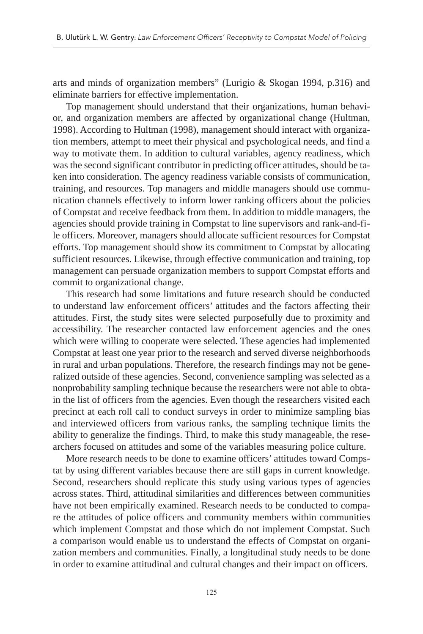arts and minds of organization members" (Lurigio & Skogan 1994, p.316) and eliminate barriers for effective implementation.

Top management should understand that their organizations, human behavior, and organization members are affected by organizational change (Hultman, 1998). According to Hultman (1998), management should interact with organization members, attempt to meet their physical and psychological needs, and find a way to motivate them. In addition to cultural variables, agency readiness, which was the second significant contributor in predicting officer attitudes, should be taken into consideration. The agency readiness variable consists of communication, training, and resources. Top managers and middle managers should use communication channels effectively to inform lower ranking officers about the policies of Compstat and receive feedback from them. In addition to middle managers, the agencies should provide training in Compstat to line supervisors and rank-and-file officers. Moreover, managers should allocate sufficient resources for Compstat efforts. Top management should show its commitment to Compstat by allocating sufficient resources. Likewise, through effective communication and training, top management can persuade organization members to support Compstat efforts and commit to organizational change.

This research had some limitations and future research should be conducted to understand law enforcement officers' attitudes and the factors affecting their attitudes. First, the study sites were selected purposefully due to proximity and accessibility. The researcher contacted law enforcement agencies and the ones which were willing to cooperate were selected. These agencies had implemented Compstat at least one year prior to the research and served diverse neighborhoods in rural and urban populations. Therefore, the research findings may not be generalized outside of these agencies. Second, convenience sampling was selected as a nonprobability sampling technique because the researchers were not able to obtain the list of officers from the agencies. Even though the researchers visited each precinct at each roll call to conduct surveys in order to minimize sampling bias and interviewed officers from various ranks, the sampling technique limits the ability to generalize the findings. Third, to make this study manageable, the researchers focused on attitudes and some of the variables measuring police culture.

More research needs to be done to examine officers' attitudes toward Compstat by using different variables because there are still gaps in current knowledge. Second, researchers should replicate this study using various types of agencies across states. Third, attitudinal similarities and differences between communities have not been empirically examined. Research needs to be conducted to compare the attitudes of police officers and community members within communities which implement Compstat and those which do not implement Compstat. Such a comparison would enable us to understand the effects of Compstat on organization members and communities. Finally, a longitudinal study needs to be done in order to examine attitudinal and cultural changes and their impact on officers.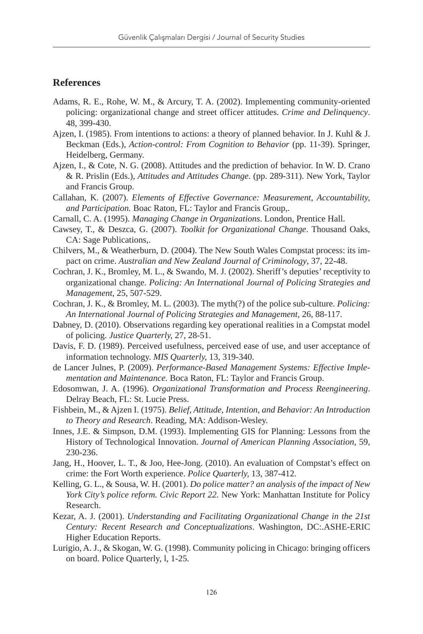### **References**

- Adams, R. E., Rohe, W. M., & Arcury, T. A. (2002). Implementing community-oriented policing: organizational change and street officer attitudes. *Crime and Delinquency*. 48, 399-430.
- Ajzen, I. (1985). From intentions to actions: a theory of planned behavior. In J. Kuhl & J. Beckman (Eds.), *Action-control: From Cognition to Behavior* (pp. 11-39). Springer, Heidelberg, Germany.
- Ajzen, I., & Cote, N. G. (2008). Attitudes and the prediction of behavior. In W. D. Crano & R. Prislin (Eds.), *Attitudes and Attitudes Change*. (pp. 289-311). New York, Taylor and Francis Group.
- Callahan, K. (2007). *Elements of Effective Governance: Measurement, Accountability, and Participation.* Boac Raton, FL: Taylor and Francis Group,.
- Carnall, C. A. (1995). *Managing Change in Organizations*. London, Prentice Hall.
- Cawsey, T., & Deszca, G. (2007). *Toolkit for Organizational Change*. Thousand Oaks, CA: Sage Publications,.
- Chilvers, M., & Weatherburn, D. (2004). The New South Wales Compstat process: its impact on crime. *Australian and New Zealand Journal of Criminology*, 37, 22-48.
- Cochran, J. K., Bromley, M. L., & Swando, M. J. (2002). Sheriff's deputies' receptivity to organizational change. *Policing: An International Journal of Policing Strategies and Management*, 25, 507-529.
- Cochran, J. K., & Bromley, M. L. (2003). The myth(?) of the police sub-culture. *Policing: An International Journal of Policing Strategies and Management*, 26, 88-117.
- Dabney, D. (2010). Observations regarding key operational realities in a Compstat model of policing. *Justice Quarterly,* 27, 28-51.
- Davis, F. D. (1989). Perceived usefulness, perceived ease of use, and user acceptance of information technology. *MIS Quarterly,* 13, 319-340.
- de Lancer Julnes, P. (2009). *Performance-Based Management Systems: Effective Implementation and Maintenance.* Boca Raton, FL: Taylor and Francis Group.
- Edosomwan, J. A. (1996). *Organizational Transformation and Process Reengineering*. Delray Beach, FL: St. Lucie Press.
- Fishbein, M., & Ajzen I. (1975). *Belief, Attitude, Intention, and Behavior: An Introduction to Theory and Research*. Reading, MA: Addison-Wesley.
- Innes, J.E. & Simpson, D.M. (1993). Implementing GIS for Planning: Lessons from the History of Technological Innovation. *Journal of American Planning Association*, 59, 230-236.
- Jang, H., Hoover, L. T., & Joo, Hee-Jong. (2010). An evaluation of Compstat's effect on crime: the Fort Worth experience. *Police Quarterly,* 13, 387-412.
- Kelling, G. L., & Sousa, W. H. (2001). *Do police matter? an analysis of the impact of New York City's police reform. Civic Report 22.* New York: Manhattan Institute for Policy Research.
- Kezar, A. J. (2001). *Understanding and Facilitating Organizational Change in the 21st Century: Recent Research and Conceptualizations*. Washington, DC:.ASHE-ERIC Higher Education Reports.
- Lurigio, A. J., & Skogan, W. G. (1998). Community policing in Chicago: bringing officers on board. Police Quarterly, l, 1-25.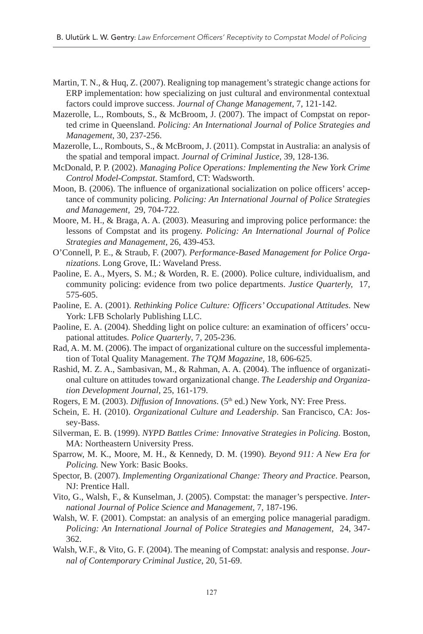- Martin, T. N., & Huq, Z. (2007). Realigning top management's strategic change actions for ERP implementation: how specializing on just cultural and environmental contextual factors could improve success. *Journal of Change Management*, 7, 121-142.
- Mazerolle, L., Rombouts, S., & McBroom, J. (2007). The impact of Compstat on reported crime in Queensland. *Policing: An International Journal of Police Strategies and Management*, 30, 237-256.
- Mazerolle, L., Rombouts, S., & McBroom, J. (2011). Compstat in Australia: an analysis of the spatial and temporal impact. *Journal of Criminal Justice*, 39, 128-136.
- McDonald, P. P. (2002). *Managing Police Operations: Implementing the New York Crime Control Model-Compstat*. Stamford, CT: Wadsworth.
- Moon, B. (2006). The influence of organizational socialization on police officers' acceptance of community policing. *Policing: An International Journal of Police Strategies and Management,* 29, 704-722.
- Moore, M. H., & Braga, A. A. (2003). Measuring and improving police performance: the lessons of Compstat and its progeny. *Policing: An International Journal of Police Strategies and Management,* 26, 439-453.
- O'Connell, P. E., & Straub, F. (2007). *Performance-Based Management for Police Organizations*. Long Grove, IL: Waveland Press.
- Paoline, E. A., Myers, S. M.; & Worden, R. E. (2000). Police culture, individualism, and community policing: evidence from two police departments. *Justice Quarterly,* 17, 575-605.
- Paoline, E. A. (2001). *Rethinking Police Culture: Officers' Occupational Attitudes*. New York: LFB Scholarly Publishing LLC.
- Paoline, E. A. (2004). Shedding light on police culture: an examination of officers' occupational attitudes. *Police Quarterly*, 7, 205-236.
- Rad, A. M. M. (2006). The impact of organizational culture on the successful implementation of Total Quality Management. *The TQM Magazine,* 18, 606-625.
- Rashid, M. Z. A., Sambasivan, M., & Rahman, A. A. (2004). The influence of organizational culture on attitudes toward organizational change. *The Leadership and Organization Development Journal*, 25, 161-179.
- Rogers, E M. (2003). *Diffusion of Innovations*. (5<sup>th</sup> ed.) New York, NY: Free Press.
- Schein, E. H. (2010). *Organizational Culture and Leadership*. San Francisco, CA: Jossey-Bass.
- Silverman, E. B. (1999). *NYPD Battles Crime: Innovative Strategies in Policing*. Boston, MA: Northeastern University Press.
- Sparrow, M. K., Moore, M. H., & Kennedy, D. M. (1990). *Beyond 911: A New Era for Policing.* New York: Basic Books.
- Spector, B. (2007). *Implementing Organizational Change: Theory and Practice*. Pearson, NJ: Prentice Hall.
- Vito, G., Walsh, F., & Kunselman, J. (2005). Compstat: the manager's perspective. *International Journal of Police Science and Management,* 7, 187-196.
- Walsh, W. F. (2001). Compstat: an analysis of an emerging police managerial paradigm. *Policing: An International Journal of Police Strategies and Management*, 24, 347- 362.
- Walsh, W.F., & Vito, G. F. (2004). The meaning of Compstat: analysis and response. *Journal of Contemporary Criminal Justice*, 20, 51-69.